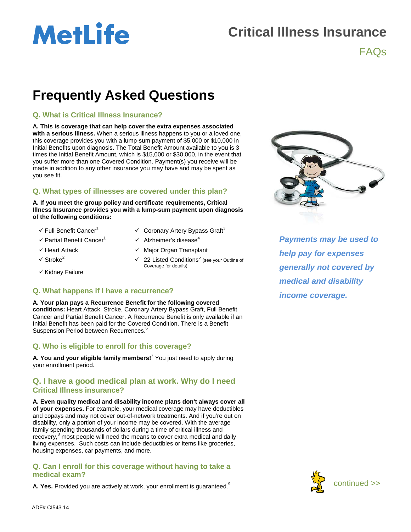# **MetLife**

### **Critical Illness Insurance**

FAQs

## **Frequently Asked Questions**

#### **Q. What is Critical Illness Insurance?**

**A. This is coverage that can help cover the extra expenses associated with a serious illness.** When a serious illness happens to you or a loved one, this coverage provides you with a lump-sum payment of \$5,000 or \$10,000 in Initial Benefits upon diagnosis. The Total Benefit Amount available to you is 3 times the Initial Benefit Amount, which is \$15,000 or \$30,000, in the event that you suffer more than one Covered Condition. Payment(s) you receive will be made in addition to any other insurance you may have and may be spent as you see fit.

#### **Q. What types of illnesses are covered under this plan?**

**A. If you meet the group policy and certificate requirements, Critical Illness Insurance provides you with a lump-sum payment upon diagnosis of the following conditions:** 

- 
- 
- 
- 
- $\checkmark$  Kidney Failure
- $\checkmark$  Full Benefit Cancer<sup>1</sup>  $\checkmark$  Coronary Artery Bypass Graft<sup>3</sup>
- $\checkmark$  Partial Benefit Cancer<sup>1</sup>  $\checkmark$  Alzheimer's disease<sup>4</sup>
- $\checkmark$  Heart Attack  $\checkmark$  Major Organ Transplant
- $\sqrt{22}$  Listed Conditions<sup>5</sup> (see your Outline of Coverage for details)

#### **Q. What happens if I have a recurrence?**

**A. Your plan pays a Recurrence Benefit for the following covered conditions:** Heart Attack, Stroke, Coronary Artery Bypass Graft, Full Benefit Cancer and Partial Benefit Cancer. A Recurrence Benefit is only available if an Initial Benefit has been paid for the Covered Condition. There is a Benefit Suspension Period between Recurrences.<sup>6</sup>

#### **Q. Who is eligible to enroll for this coverage?**

**A. You and your eligible family members!**<sup>7</sup> You just need to apply during your enrollment period.

#### **Q. I have a good medical plan at work. Why do I need Critical Illness insurance?**

**A. Even quality medical and disability income plans don't always cover all of your expenses.** For example, your medical coverage may have deductibles and copays and may not cover out-of-network treatments. And if you're out on disability, only a portion of your income may be covered. With the average family spending thousands of dollars during a time of critical illness and recovery,<sup>8</sup> most people will need the means to cover extra medical and daily living expenses. Such costs can include deductibles or items like groceries, housing expenses, car payments, and more.

#### **Q. Can I enroll for this coverage without having to take a medical exam?**

**A. Yes.** Provided you are actively at work, your enrollment is guaranteed.<sup>9</sup>



*Payments may be used to help pay for expenses generally not covered by medical and disability income coverage.*